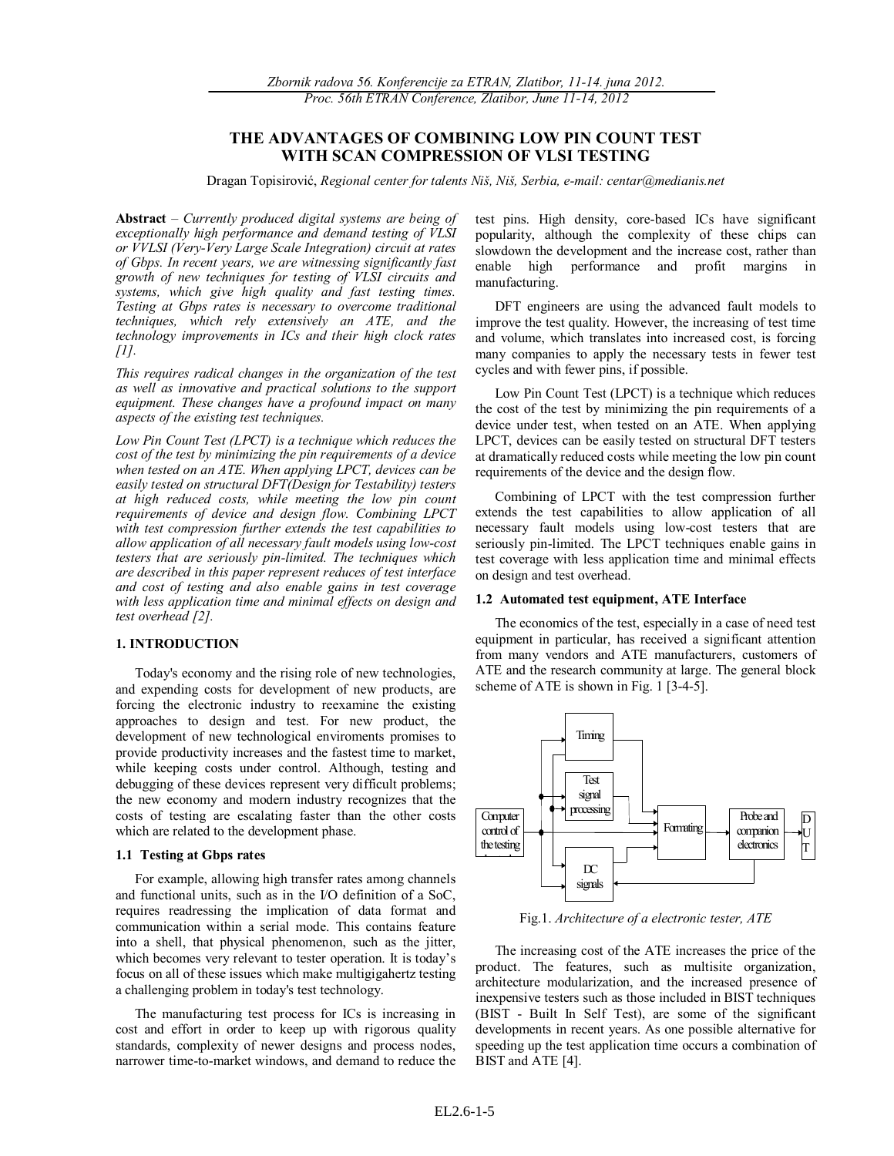# **THE ADVANTAGES OF COMBINING LOW PIN COUNT TEST WITH SCAN COMPRESSION OF VLSI TESTING**

Dragan Topisirović, *Regional center for talents Niš, Niš, Serbia, e-mail: centar@medianis.net* 

**Abstract** – *Currently produced digital systems are being of exceptionally high performance and demand testing of VLSI or VVLSI (Very-Very Large Scale Integration) circuit at rates of Gbps. In recent years, we are witnessing significantly fast growth of new techniques for testing of VLSI circuits and systems, which give high quality and fast testing times. Testing at Gbps rates is necessary to overcome traditional techniques, which rely extensively an ATE, and the technology improvements in ICs and their high clock rates [1].*

*This requires radical changes in the organization of the test as well as innovative and practical solutions to the support equipment. These changes have a profound impact on many aspects of the existing test techniques.*

*Low Pin Count Test (LPCT) is a technique which reduces the cost of the test by minimizing the pin requirements of a device when tested on an ATE. When applying LPCT, devices can be easily tested on structural DFT(Design for Testability) testers at high reduced costs, while meeting the low pin count requirements of device and design flow. Combining LPCT with test compression further extends the test capabilities to allow application of all necessary fault models using low-cost testers that are seriously pin-limited. The techniques which are described in this paper represent reduces of test interface and cost of testing and also enable gains in test coverage with less application time and minimal effects on design and test overhead [2].*

## **1. INTRODUCTION**

Today's economy and the rising role of new technologies, and expending costs for development of new products, are forcing the electronic industry to reexamine the existing approaches to design and test. For new product, the development of new technological enviroments promises to provide productivity increases and the fastest time to market, while keeping costs under control. Although, testing and debugging of these devices represent very difficult problems; the new economy and modern industry recognizes that the costs of testing are escalating faster than the other costs which are related to the development phase.

#### **1.1 Testing at Gbps rates**

For example, allowing high transfer rates among channels and functional units, such as in the I/O definition of a SoC, requires readressing the implication of data format and communication within a serial mode. This contains feature into a shell, that physical phenomenon, such as the jitter, which becomes very relevant to tester operation. It is today's focus on all of these issues which make multigigahertz testing a challenging problem in today's test technology.

The manufacturing test process for ICs is increasing in cost and effort in order to keep up with rigorous quality standards, complexity of newer designs and process nodes, narrower time-to-market windows, and demand to reduce the test pins. High density, core-based ICs have significant popularity, although the complexity of these chips can slowdown the development and the increase cost, rather than enable high performance and profit margins in manufacturing.

DFT engineers are using the advanced fault models to improve the test quality. However, the increasing of test time and volume, which translates into increased cost, is forcing many companies to apply the necessary tests in fewer test cycles and with fewer pins, if possible.

Low Pin Count Test (LPCT) is a technique which reduces the cost of the test by minimizing the pin requirements of a device under test, when tested on an ATE. When applying LPCT, devices can be easily tested on structural DFT testers at dramatically reduced costs while meeting the low pin count requirements of the device and the design flow.

Combining of LPCT with the test compression further extends the test capabilities to allow application of all necessary fault models using low-cost testers that are seriously pin-limited. The LPCT techniques enable gains in test coverage with less application time and minimal effects on design and test overhead.

## **1.2 Automated test equipment, ATE Interface**

The economics of the test, especially in a case of need test equipment in particular, has received a significant attention from many vendors and ATE manufacturers, customers of ATE and the research community at large. The general block scheme of ATE is shown in Fig. 1 [3-4-5].



Fig.1. *Architecture of a electronic tester, ATE*

The increasing cost of the ATE increases the price of the product. The features, such as multisite organization, architecture modularization, and the increased presence of inexpensive testers such as those included in BIST techniques (BIST - Built In Self Test), are some of the significant developments in recent years. As one possible alternative for speeding up the test application time occurs a combination of BIST and ATE [4].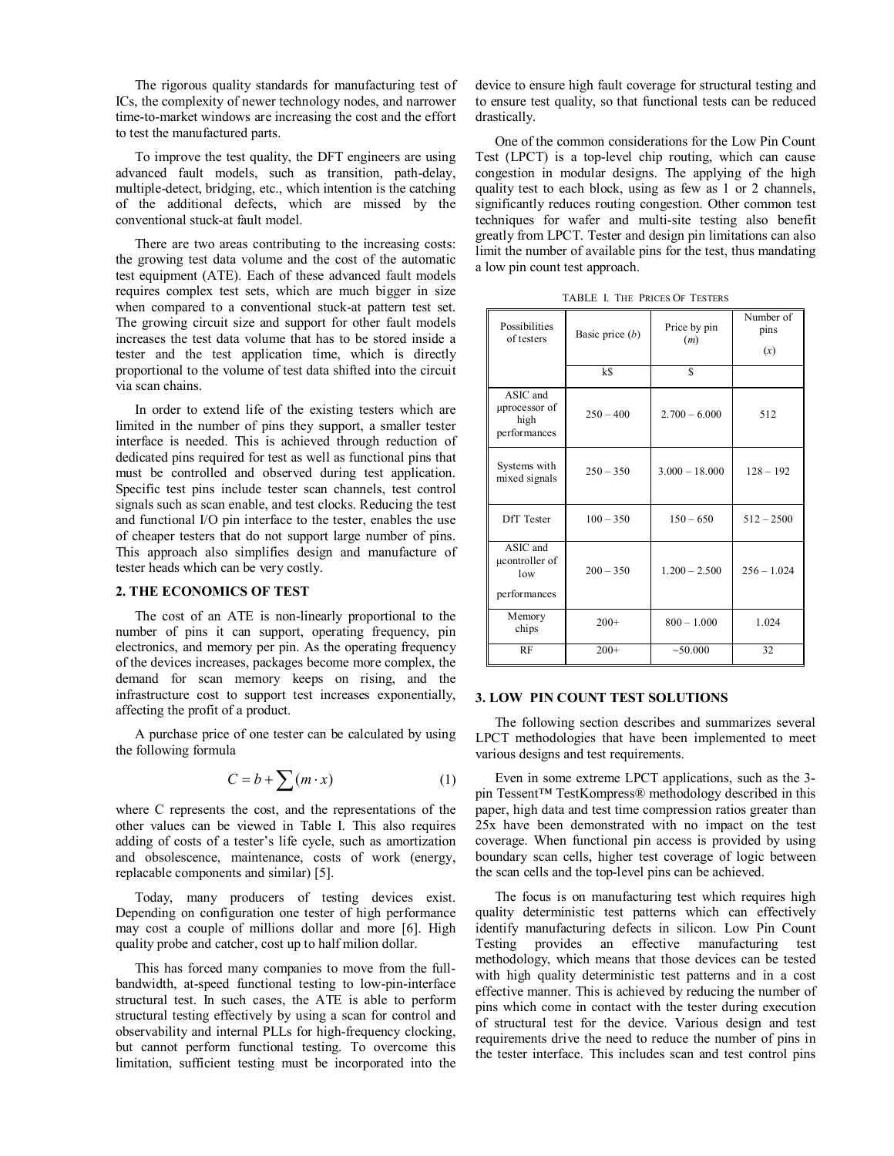The rigorous quality standards for manufacturing test of ICs, the complexity of newer technology nodes, and narrower time-to-market windows are increasing the cost and the effort to test the manufactured parts.

To improve the test quality, the DFT engineers are using advanced fault models, such as transition, path-delay, multiple-detect, bridging, etc., which intention is the catching of the additional defects, which are missed by the conventional stuck-at fault model.

There are two areas contributing to the increasing costs: the growing test data volume and the cost of the automatic test equipment (ATE). Each of these advanced fault models requires complex test sets, which are much bigger in size when compared to a conventional stuck-at pattern test set. The growing circuit size and support for other fault models increases the test data volume that has to be stored inside a tester and the test application time, which is directly proportional to the volume of test data shifted into the circuit via scan chains.

In order to extend life of the existing testers which are limited in the number of pins they support, a smaller tester interface is needed. This is achieved through reduction of dedicated pins required for test as well as functional pins that must be controlled and observed during test application. Specific test pins include tester scan channels, test control signals such as scan enable, and test clocks. Reducing the test and functional I/O pin interface to the tester, enables the use of cheaper testers that do not support large number of pins. This approach also simplifies design and manufacture of tester heads which can be very costly.

### **2. THE ECONOMICS OF TEST**

The cost of an ATE is non-linearly proportional to the number of pins it can support, operating frequency, pin electronics, and memory per pin. As the operating frequency of the devices increases, packages become more complex, the demand for scan memory keeps on rising, and the infrastructure cost to support test increases exponentially, affecting the profit of a product.

A purchase price of one tester can be calculated by using the following formula

$$
C = b + \sum (m \cdot x) \tag{1}
$$

where C represents the cost, and the representations of the other values can be viewed in Table I. This also requires adding of costs of a tester's life cycle, such as amortization and obsolescence, maintenance, costs of work (energy, replacable components and similar) [5].

Today, many producers of testing devices exist. Depending on configuration one tester of high performance may cost a couple of millions dollar and more [6]. High quality probe and catcher, cost up to half milion dollar.

This has forced many companies to move from the fullbandwidth, at-speed functional testing to low-pin-interface structural test. In such cases, the ATE is able to perform structural testing effectively by using a scan for control and observability and internal PLLs for high-frequency clocking, but cannot perform functional testing. To overcome this limitation, sufficient testing must be incorporated into the device to ensure high fault coverage for structural testing and to ensure test quality, so that functional tests can be reduced drastically.

One of the common considerations for the Low Pin Count Test (LPCT) is a top-level chip routing, which can cause congestion in modular designs. The applying of the high quality test to each block, using as few as 1 or 2 channels, significantly reduces routing congestion. Other common test techniques for wafer and multi-site testing also benefit greatly from LPCT. Tester and design pin limitations can also limit the number of available pins for the test, thus mandating a low pin count test approach.

TABLE I. THE PRICES OF TESTERS

| Possibilities<br>of testers                       | Basic price $(b)$<br>k\$ | Price by pin<br>(m)<br>S | Number of<br>pins<br>(x) |
|---------------------------------------------------|--------------------------|--------------------------|--------------------------|
|                                                   |                          |                          |                          |
| ASIC and<br>uprocessor of<br>high<br>performances | $250 - 400$              | $2.700 - 6.000$          | 512                      |
| Systems with<br>mixed signals                     | $250 - 350$              | $3.000 - 18.000$         | $128 - 192$              |
| DfT Tester                                        | $100 - 350$              | $150 - 650$              | $512 - 2500$             |
| ASIC and<br>ucontroller of<br>low<br>performances | $200 - 350$              | $1,200 - 2,500$          | $256 - 1.024$            |
| Memory<br>chips                                   | $200+$                   | $800 - 1.000$            | 1.024                    |
| RF                                                | $200+$                   | ~50.000                  | 32                       |

## **3. LOW PIN COUNT TEST SOLUTIONS**

The following section describes and summarizes several LPCT methodologies that have been implemented to meet various designs and test requirements.

Even in some extreme LPCT applications, such as the 3 pin Tessent™ TestKompress® methodology described in this paper, high data and test time compression ratios greater than 25x have been demonstrated with no impact on the test coverage. When functional pin access is provided by using boundary scan cells, higher test coverage of logic between the scan cells and the top-level pins can be achieved.

The focus is on manufacturing test which requires high quality deterministic test patterns which can effectively identify manufacturing defects in silicon. Low Pin Count Testing provides an effective manufacturing test methodology, which means that those devices can be tested with high quality deterministic test patterns and in a cost effective manner. This is achieved by reducing the number of pins which come in contact with the tester during execution of structural test for the device. Various design and test requirements drive the need to reduce the number of pins in the tester interface. This includes scan and test control pins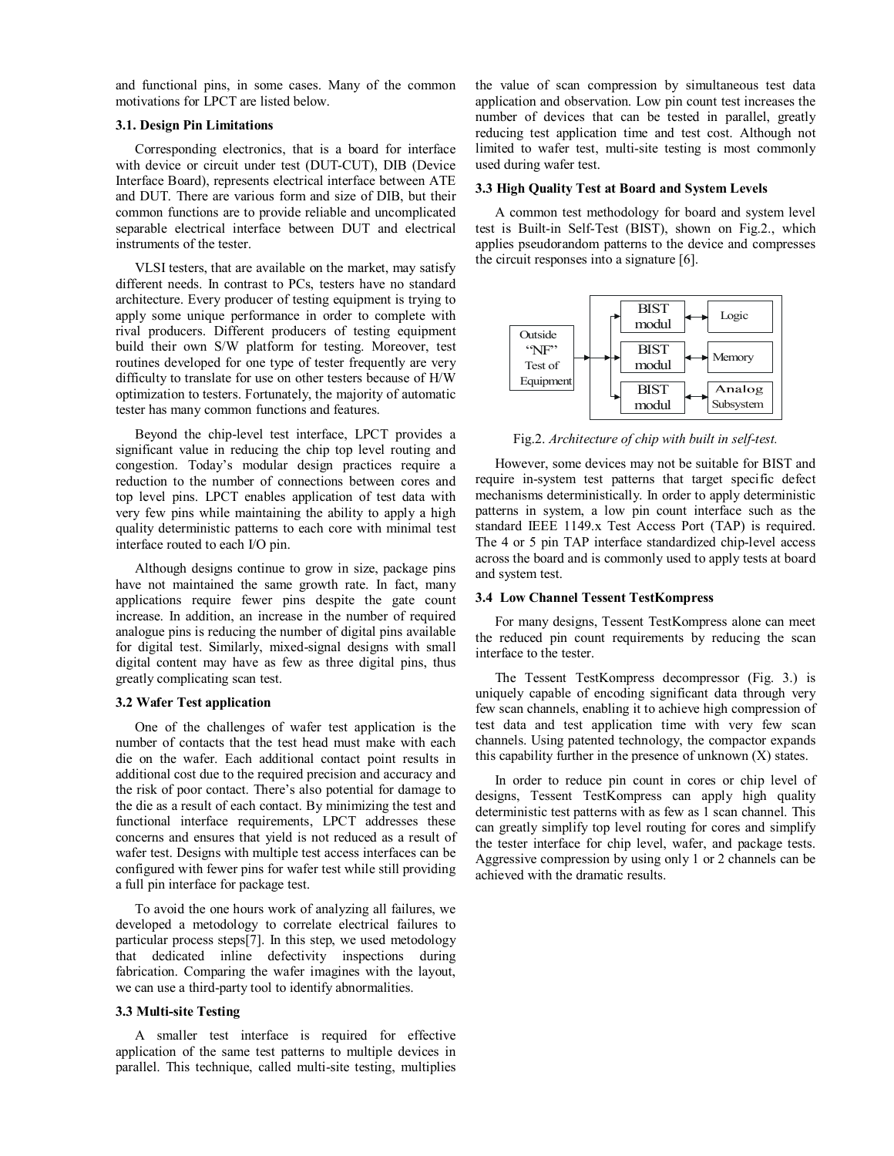and functional pins, in some cases. Many of the common motivations for LPCT are listed below.

## **3.1. Design Pin Limitations**

Corresponding electronics, that is a board for interface with device or circuit under test (DUT-CUT), DIB (Device Interface Board), represents electrical interface between ATE and DUT. There are various form and size of DIB, but their common functions are to provide reliable and uncomplicated separable electrical interface between DUT and electrical instruments of the tester.

VLSI testers, that are available on the market, may satisfy different needs. In contrast to PCs, testers have no standard architecture. Every producer of testing equipment is trying to apply some unique performance in order to complete with rival producers. Different producers of testing equipment build their own S/W platform for testing. Moreover, test routines developed for one type of tester frequently are very difficulty to translate for use on other testers because of H/W optimization to testers. Fortunately, the majority of automatic tester has many common functions and features.

Beyond the chip-level test interface, LPCT provides a significant value in reducing the chip top level routing and congestion. Today's modular design practices require a reduction to the number of connections between cores and top level pins. LPCT enables application of test data with very few pins while maintaining the ability to apply a high quality deterministic patterns to each core with minimal test interface routed to each I/O pin.

Although designs continue to grow in size, package pins have not maintained the same growth rate. In fact, many applications require fewer pins despite the gate count increase. In addition, an increase in the number of required analogue pins is reducing the number of digital pins available for digital test. Similarly, mixed-signal designs with small digital content may have as few as three digital pins, thus greatly complicating scan test.

## **3.2 Wafer Test application**

One of the challenges of wafer test application is the number of contacts that the test head must make with each die on the wafer. Each additional contact point results in additional cost due to the required precision and accuracy and the risk of poor contact. There's also potential for damage to the die as a result of each contact. By minimizing the test and functional interface requirements, LPCT addresses these concerns and ensures that yield is not reduced as a result of wafer test. Designs with multiple test access interfaces can be configured with fewer pins for wafer test while still providing a full pin interface for package test.

To avoid the one hours work of analyzing all failures, we developed a metodology to correlate electrical failures to particular process steps[7]. In this step, we used metodology that dedicated inline defectivity inspections during fabrication. Comparing the wafer imagines with the layout, we can use a third-party tool to identify abnormalities.

## **3.3 Multi-site Testing**

A smaller test interface is required for effective application of the same test patterns to multiple devices in parallel. This technique, called multi-site testing, multiplies

the value of scan compression by simultaneous test data application and observation. Low pin count test increases the number of devices that can be tested in parallel, greatly reducing test application time and test cost. Although not limited to wafer test, multi-site testing is most commonly used during wafer test.

#### **3.3 High Quality Test at Board and System Levels**

A common test methodology for board and system level test is Built-in Self-Test (BIST), shown on Fig.2., which applies pseudorandom patterns to the device and compresses the circuit responses into a signature [6].



Fig.2. *Architecture of chip with built in self-test.*

However, some devices may not be suitable for BIST and require in-system test patterns that target specific defect mechanisms deterministically. In order to apply deterministic patterns in system, a low pin count interface such as the standard IEEE 1149.x Test Access Port (TAP) is required. The 4 or 5 pin TAP interface standardized chip-level access across the board and is commonly used to apply tests at board and system test.

## **3.4 Low Channel Tessent TestKompress**

For many designs, Tessent TestKompress alone can meet the reduced pin count requirements by reducing the scan interface to the tester.

The Tessent TestKompress decompressor (Fig. 3.) is uniquely capable of encoding significant data through very few scan channels, enabling it to achieve high compression of test data and test application time with very few scan channels. Using patented technology, the compactor expands this capability further in the presence of unknown  $(X)$  states.

In order to reduce pin count in cores or chip level of designs, Tessent TestKompress can apply high quality deterministic test patterns with as few as 1 scan channel. This can greatly simplify top level routing for cores and simplify the tester interface for chip level, wafer, and package tests. Aggressive compression by using only 1 or 2 channels can be achieved with the dramatic results.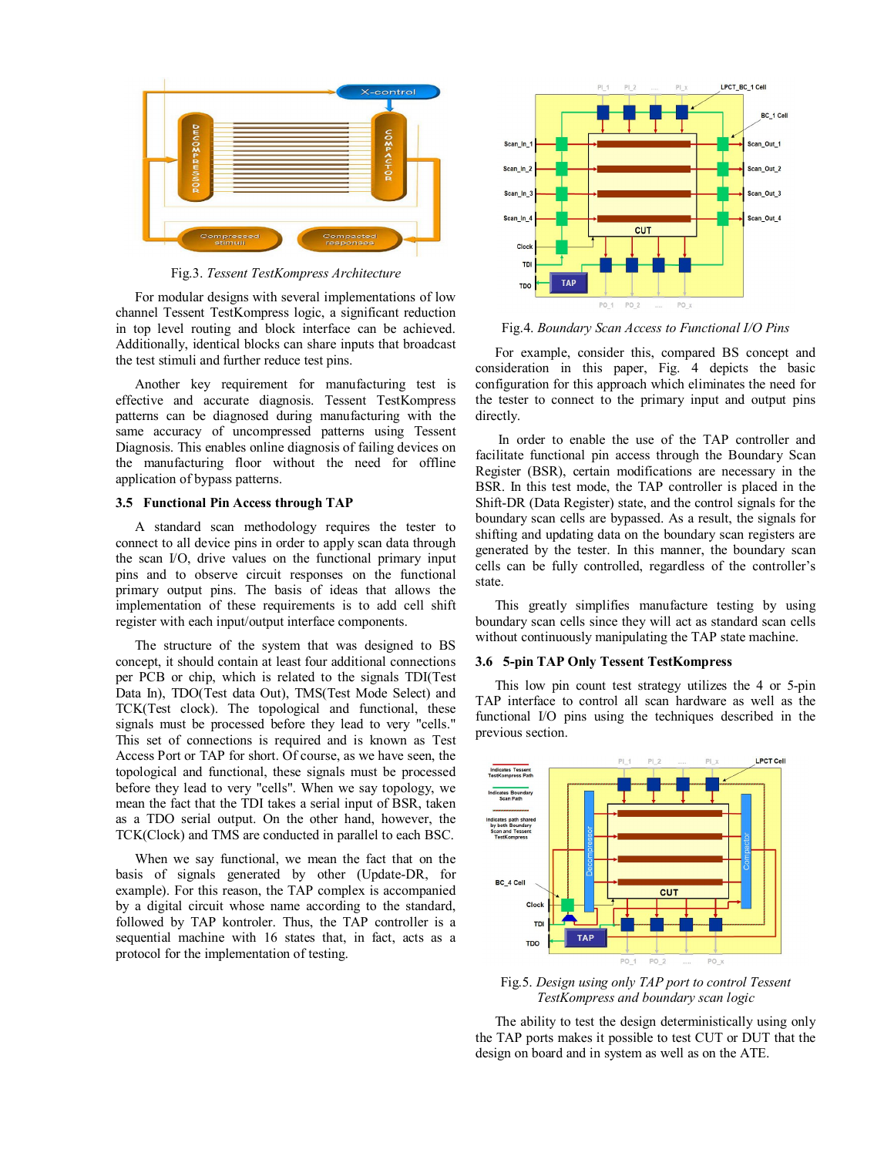

Fig.3. *Tessent TestKompress Architecture*

For modular designs with several implementations of low channel Tessent TestKompress logic, a significant reduction in top level routing and block interface can be achieved. Additionally, identical blocks can share inputs that broadcast the test stimuli and further reduce test pins.

Another key requirement for manufacturing test is effective and accurate diagnosis. Tessent TestKompress patterns can be diagnosed during manufacturing with the same accuracy of uncompressed patterns using Tessent Diagnosis. This enables online diagnosis of failing devices on the manufacturing floor without the need for offline application of bypass patterns.

## **3.5 Functional Pin Access through TAP**

A standard scan methodology requires the tester to connect to all device pins in order to apply scan data through the scan I/O, drive values on the functional primary input pins and to observe circuit responses on the functional primary output pins. The basis of ideas that allows the implementation of these requirements is to add cell shift register with each input/output interface components.

The structure of the system that was designed to BS concept, it should contain at least four additional connections per PCB or chip, which is related to the signals TDI(Test Data In), TDO(Test data Out), TMS(Test Mode Select) and TCK(Test clock). The topological and functional, these signals must be processed before they lead to very "cells." This set of connections is required and is known as Test Access Port or TAP for short. Of course, as we have seen, the topological and functional, these signals must be processed before they lead to very "cells". When we say topology, we mean the fact that the TDI takes a serial input of BSR, taken as a TDO serial output. On the other hand, however, the TCK(Clock) and TMS are conducted in parallel to each BSC.

When we say functional, we mean the fact that on the basis of signals generated by other (Update-DR, for example). For this reason, the TAP complex is accompanied by a digital circuit whose name according to the standard, followed by TAP kontroler. Thus, the TAP controller is a sequential machine with 16 states that, in fact, acts as a protocol for the implementation of testing.



Fig.4. *Boundary Scan Access to Functional I/O Pins*

For example, consider this, compared BS concept and consideration in this paper, Fig. 4 depicts the basic configuration for this approach which eliminates the need for the tester to connect to the primary input and output pins directly.

 In order to enable the use of the TAP controller and facilitate functional pin access through the Boundary Scan Register (BSR), certain modifications are necessary in the BSR. In this test mode, the TAP controller is placed in the Shift-DR (Data Register) state, and the control signals for the boundary scan cells are bypassed. As a result, the signals for shifting and updating data on the boundary scan registers are generated by the tester. In this manner, the boundary scan cells can be fully controlled, regardless of the controller's state.

This greatly simplifies manufacture testing by using boundary scan cells since they will act as standard scan cells without continuously manipulating the TAP state machine.

#### **3.6 5-pin TAP Only Tessent TestKompress**

This low pin count test strategy utilizes the 4 or 5-pin TAP interface to control all scan hardware as well as the functional I/O pins using the techniques described in the previous section.



Fig.5. *Design using only TAP port to control Tessent TestKompress and boundary scan logic*

The ability to test the design deterministically using only the TAP ports makes it possible to test CUT or DUT that the design on board and in system as well as on the ATE.